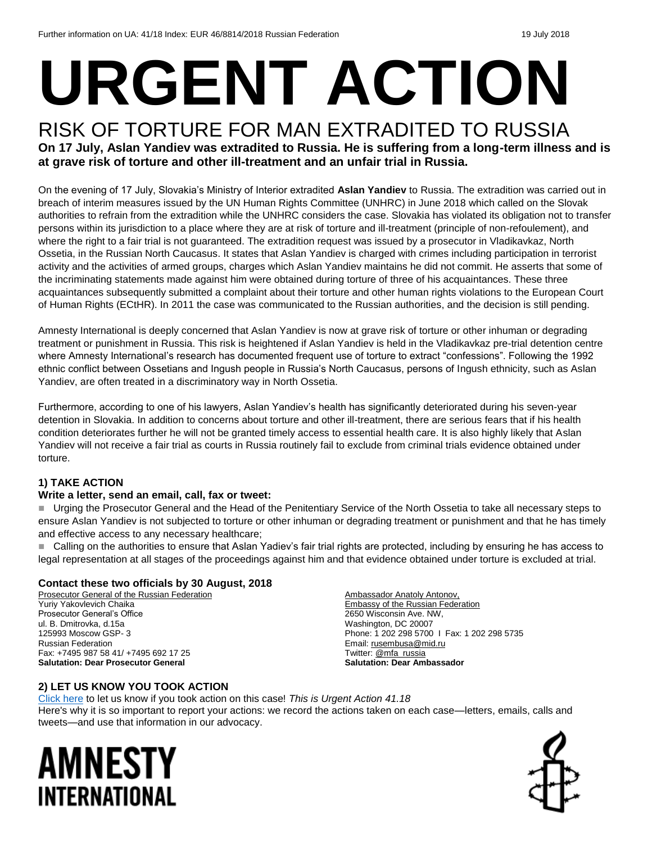# **URGENT ACTION**

#### RISK OF TORTURE FOR MAN EXTRADITED TO RUSSIA **On 17 July, Aslan Yandiev was extradited to Russia. He is suffering from a long-term illness and is at grave risk of torture and other ill-treatment and an unfair trial in Russia.**

On the evening of 17 July, Slovakia's Ministry of Interior extradited **Aslan Yandiev** to Russia. The extradition was carried out in breach of interim measures issued by the UN Human Rights Committee (UNHRC) in June 2018 which called on the Slovak authorities to refrain from the extradition while the UNHRC considers the case. Slovakia has violated its obligation not to transfer persons within its jurisdiction to a place where they are at risk of torture and ill-treatment (principle of non-refoulement), and where the right to a fair trial is not guaranteed. The extradition request was issued by a prosecutor in Vladikavkaz, North Ossetia, in the Russian North Caucasus. It states that Aslan Yandiev is charged with crimes including participation in terrorist activity and the activities of armed groups, charges which Aslan Yandiev maintains he did not commit. He asserts that some of the incriminating statements made against him were obtained during torture of three of his acquaintances. These three acquaintances subsequently submitted a complaint about their torture and other human rights violations to the European Court of Human Rights (ECtHR). In 2011 the case was communicated to the Russian authorities, and the decision is still pending.

Amnesty International is deeply concerned that Aslan Yandiev is now at grave risk of torture or other inhuman or degrading treatment or punishment in Russia. This risk is heightened if Aslan Yandiev is held in the Vladikavkaz pre-trial detention centre where Amnesty International's research has documented frequent use of torture to extract "confessions". Following the 1992 ethnic conflict between Ossetians and Ingush people in Russia's North Caucasus, persons of Ingush ethnicity, such as Aslan Yandiev, are often treated in a discriminatory way in North Ossetia.

Furthermore, according to one of his lawyers, Aslan Yandiev's health has significantly deteriorated during his seven-year detention in Slovakia. In addition to concerns about torture and other ill-treatment, there are serious fears that if his health condition deteriorates further he will not be granted timely access to essential health care. It is also highly likely that Aslan Yandiev will not receive a fair trial as courts in Russia routinely fail to exclude from criminal trials evidence obtained under torture.

#### **1) TAKE ACTION**

#### **Write a letter, send an email, call, fax or tweet:**

Urging the Prosecutor General and the Head of the Penitentiary Service of the North Ossetia to take all necessary steps to ensure Aslan Yandiev is not subjected to torture or other inhuman or degrading treatment or punishment and that he has timely and effective access to any necessary healthcare;

■ Calling on the authorities to ensure that Aslan Yadiev's fair trial rights are protected, including by ensuring he has access to legal representation at all stages of the proceedings against him and that evidence obtained under torture is excluded at trial.

#### **Contact these two officials by 30 August, 2018**

Prosecutor General of the Russian Federation Yuriy Yakovlevich Chaika Prosecutor General's Office ul. B. Dmitrovka, d.15a 125993 Moscow GSP- 3 Russian Federation Fax: +7495 987 58 41/ +7495 692 17 25 **Salutation: Dear Prosecutor General**

Ambassador Anatoly Antonov, Embassy of the Russian Federation 2650 Wisconsin Ave. NW, Washington, DC 20007 Phone: 1 202 298 5700 I Fax: 1 202 298 5735 Email[: rusembusa@mid.ru](mailto:rusembusa@mid.ru) Twitter[: @mfa\\_russia](https://twitter.com/mfa_russia?ref_src=twsrc%5Egoogle%7Ctwcamp%5Eserp%7Ctwgr%5Eauthor) **Salutation: Dear Ambassador**

#### **2) LET US KNOW YOU TOOK ACTION**

[Click here](https://www.amnestyusa.org/report-urgent-actions/) to let us know if you took action on this case! *This is Urgent Action 41.18* Here's why it is so important to report your actions: we record the actions taken on each case—letters, emails, calls and tweets—and use that information in our advocacy.

## AMNESTY INTERNATIONAL